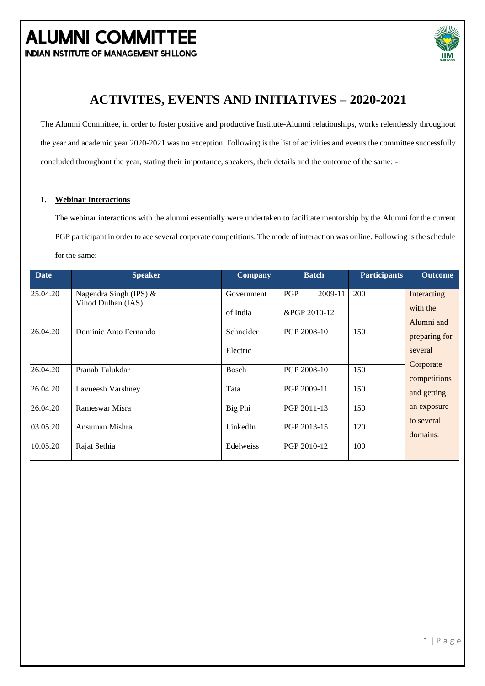**INDIAN INSTITUTE OF MANAGEMENT SHILLONG** 



### **ACTIVITES, EVENTS AND INITIATIVES – 2020-2021**

The Alumni Committee, in order to foster positive and productive Institute-Alumni relationships, works relentlessly throughout the year and academic year 2020-2021 was no exception. Following isthe list of activities and events the committee successfully concluded throughout the year, stating their importance, speakers, their details and the outcome of the same: -

#### **1. Webinar Interactions**

The webinar interactions with the alumni essentially were undertaken to facilitate mentorship by the Alumni for the current PGP participant in order to ace several corporate competitions. The mode of interaction was online. Following is the schedule for the same:

| <b>Date</b> | <b>Speaker</b>                                 | <b>Company</b> | <b>Batch</b>          | <b>Participants</b> | <b>Outcome</b>            |
|-------------|------------------------------------------------|----------------|-----------------------|---------------------|---------------------------|
| 25.04.20    | Nagendra Singh (IPS) $&$<br>Vinod Dulhan (IAS) | Government     | <b>PGP</b><br>2009-11 | 200                 | Interacting               |
|             |                                                | of India       | &PGP 2010-12          |                     | with the<br>Alumni and    |
| 26.04.20    | Dominic Anto Fernando                          | Schneider      | PGP 2008-10           | 150                 | preparing for             |
|             |                                                | Electric       |                       |                     | several                   |
| 26.04.20    | Pranab Talukdar                                | <b>Bosch</b>   | PGP 2008-10           | 150                 | Corporate<br>competitions |
| 26.04.20    | Lavneesh Varshney                              | Tata           | PGP 2009-11           | 150                 | and getting               |
| 26.04.20    | Rameswar Misra                                 | Big Phi        | PGP 2011-13           | 150                 | an exposure<br>to several |
| 03.05.20    | Ansuman Mishra                                 | LinkedIn       | PGP 2013-15           | 120                 | domains.                  |
| 10.05.20    | Rajat Sethia                                   | Edelweiss      | PGP 2010-12           | 100                 |                           |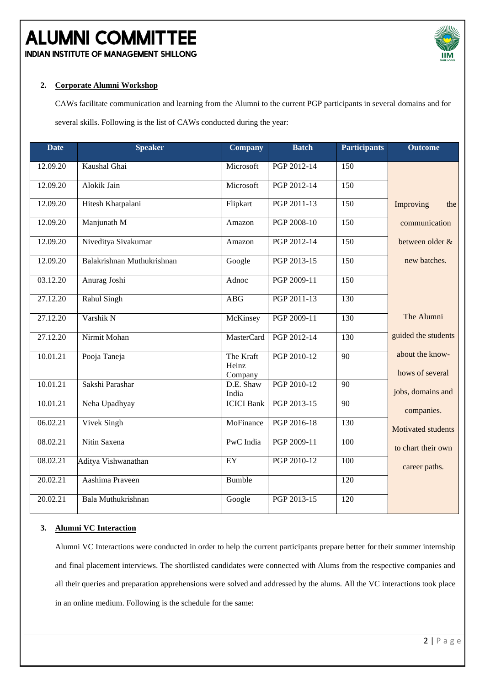**INDIAN INSTITUTE OF MANAGEMENT SHILLONG** 



#### **2. Corporate Alumni Workshop**

CAWs facilitate communication and learning from the Alumni to the current PGP participants in several domains and for

several skills. Following is the list of CAWs conducted during the year:

| <b>Date</b> | <b>Speaker</b>             | <b>Company</b>     | <b>Batch</b> | <b>Participants</b> | <b>Outcome</b>      |
|-------------|----------------------------|--------------------|--------------|---------------------|---------------------|
| 12.09.20    | Kaushal Ghai               | Microsoft          | PGP 2012-14  | 150                 |                     |
| 12.09.20    | Alokik Jain                | Microsoft          | PGP 2012-14  | 150                 |                     |
| 12.09.20    | Hitesh Khatpalani          | Flipkart           | PGP 2011-13  | 150                 | Improving<br>the    |
| 12.09.20    | Manjunath M                | Amazon             | PGP 2008-10  | 150                 | communication       |
| 12.09.20    | Niveditya Sivakumar        | Amazon             | PGP 2012-14  | 150                 | between older &     |
| 12.09.20    | Balakrishnan Muthukrishnan | Google             | PGP 2013-15  | $\overline{150}$    | new batches.        |
| 03.12.20    | Anurag Joshi               | Adnoc              | PGP 2009-11  | 150                 |                     |
| 27.12.20    | Rahul Singh                | <b>ABG</b>         | PGP 2011-13  | 130                 |                     |
| 27.12.20    | Varshik N                  | McKinsey           | PGP 2009-11  | 130                 | The Alumni          |
| 27.12.20    | Nirmit Mohan               | <b>MasterCard</b>  | PGP 2012-14  | 130                 | guided the students |
| 10.01.21    | Pooja Taneja               | The Kraft<br>Heinz | PGP 2010-12  | 90                  | about the know-     |
|             |                            | Company            |              |                     | hows of several     |
| 10.01.21    | Sakshi Parashar            | D.E. Shaw<br>India | PGP 2010-12  | 90                  | jobs, domains and   |
| 10.01.21    | Neha Upadhyay              | <b>ICICI</b> Bank  | PGP 2013-15  | 90                  | companies.          |
| 06.02.21    | Vivek Singh                | MoFinance          | PGP 2016-18  | 130                 | Motivated students  |
| 08.02.21    | Nitin Saxena               | PwC India          | PGP 2009-11  | 100                 | to chart their own  |
| 08.02.21    | Aditya Vishwanathan        | $\overline{EY}$    | PGP 2010-12  | $\overline{100}$    | career paths.       |
| 20.02.21    | Aashima Praveen            | Bumble             |              | 120                 |                     |
| 20.02.21    | Bala Muthukrishnan         | Google             | PGP 2013-15  | 120                 |                     |

#### **3. Alumni VC Interaction**

Alumni VC Interactions were conducted in order to help the current participants prepare better for their summer internship and final placement interviews. The shortlisted candidates were connected with Alums from the respective companies and all their queries and preparation apprehensions were solved and addressed by the alums. All the VC interactions took place in an online medium. Following is the schedule for the same: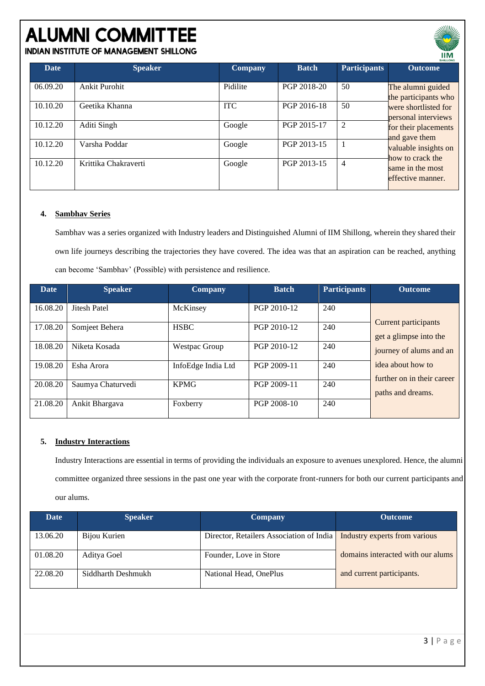**INDIAN INSTITUTE OF MANAGEMENT SHILLONG** 

| <b>Date</b> | <b>Speaker</b>       | <b>Company</b> | <b>Batch</b> | <b>Participants</b> | <b>Outcome</b>                              |
|-------------|----------------------|----------------|--------------|---------------------|---------------------------------------------|
| 06.09.20    | Ankit Purohit        | Pidilite       | PGP 2018-20  | 50                  | The alumni guided<br>the participants who   |
| 10.10.20    | Geetika Khanna       | <b>ITC</b>     | PGP 2016-18  | 50                  | were shortlisted for<br>personal interviews |
| 10.12.20    | Aditi Singh          | Google         | PGP 2015-17  | 2                   | for their placements<br>and gave them       |
| 10.12.20    | Varsha Poddar        | Google         | PGP 2013-15  |                     | valuable insights on<br>how to crack the    |
| 10.12.20    | Krittika Chakraverti | Google         | PGP 2013-15  | 4                   | same in the most<br>effective manner.       |

#### **4. Sambhav Series**

Sambhav was a series organized with Industry leaders and Distinguished Alumni of IIM Shillong, wherein they shared their own life journeys describing the trajectories they have covered. The idea was that an aspiration can be reached, anything can become 'Sambhav' (Possible) with persistence and resilience.

| <b>Date</b> | <b>Speaker</b>    | <b>Company</b>       | <b>Batch</b> | <b>Participants</b> | <b>Outcome</b>                                        |
|-------------|-------------------|----------------------|--------------|---------------------|-------------------------------------------------------|
| 16.08.20    | Jitesh Patel      | McKinsey             | PGP 2010-12  | 240                 |                                                       |
| 17.08.20    | Somjeet Behera    | <b>HSBC</b>          | PGP 2010-12  | 240                 | <b>Current participants</b><br>get a glimpse into the |
| 18.08.20    | Niketa Kosada     | <b>Westpac Group</b> | PGP 2010-12  | 240                 | journey of alums and an                               |
| 19.08.20    | Esha Arora        | InfoEdge India Ltd   | PGP 2009-11  | 240                 | idea about how to<br>further on in their career       |
| 20.08.20    | Saumya Chaturvedi | <b>KPMG</b>          | PGP 2009-11  | 240                 | paths and dreams.                                     |
| 21.08.20    | Ankit Bhargava    | Foxberry             | PGP 2008-10  | 240                 |                                                       |

#### **5. Industry Interactions**

Industry Interactions are essential in terms of providing the individuals an exposure to avenues unexplored. Hence, the alumni committee organized three sessions in the past one year with the corporate front-runners for both our current participants and our alums.

| Date     | <b>Speaker</b>     | Company                                  | <b>Outcome</b>                    |
|----------|--------------------|------------------------------------------|-----------------------------------|
|          |                    |                                          |                                   |
| 13.06.20 | Bijou Kurien       | Director, Retailers Association of India | Industry experts from various     |
|          |                    |                                          |                                   |
| 01.08.20 | Aditya Goel        | Founder, Love in Store                   | domains interacted with our alums |
|          |                    |                                          |                                   |
| 22.08.20 | Siddharth Deshmukh | National Head, OnePlus                   | and current participants.         |
|          |                    |                                          |                                   |

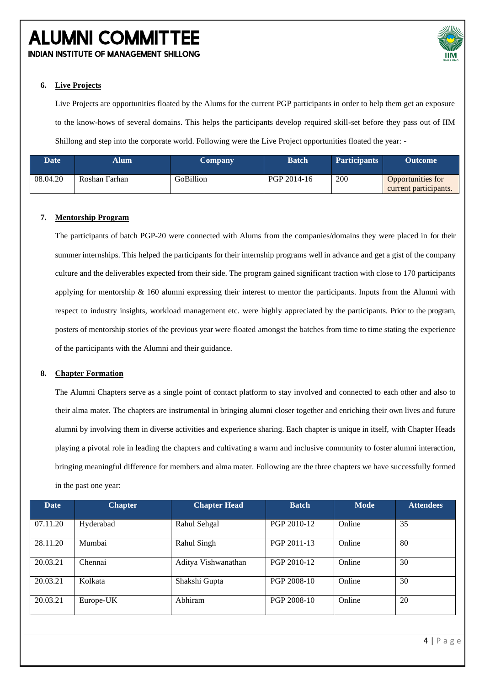**INDIAN INSTITUTE OF MANAGEMENT SHILLONG** 



#### **6. Live Projects**

Live Projects are opportunities floated by the Alums for the current PGP participants in order to help them get an exposure to the know-hows of several domains. This helps the participants develop required skill-set before they pass out of IIM Shillong and step into the corporate world. Following were the Live Project opportunities floated the year: -

| <b>Date</b> | Alum          | <b>Company</b> | <b>Batch</b> | <b>Participants</b> | <b>Outcome</b>                                    |
|-------------|---------------|----------------|--------------|---------------------|---------------------------------------------------|
| 08.04.20    | Roshan Farhan | GoBillion      | PGP 2014-16  | 200                 | <b>Opportunities for</b><br>current participants. |

#### **7. Mentorship Program**

The participants of batch PGP-20 were connected with Alums from the companies/domains they were placed in for their summer internships. This helped the participants for their internship programs well in advance and get a gist of the company culture and the deliverables expected from their side. The program gained significant traction with close to 170 participants applying for mentorship  $\&$  160 alumni expressing their interest to mentor the participants. Inputs from the Alumni with respect to industry insights, workload management etc. were highly appreciated by the participants. Prior to the program, posters of mentorship stories of the previous year were floated amongst the batches from time to time stating the experience of the participants with the Alumni and their guidance.

#### **8. Chapter Formation**

The Alumni Chapters serve as a single point of contact platform to stay involved and connected to each other and also to their alma mater. The chapters are instrumental in bringing alumni closer together and enriching their own lives and future alumni by involving them in diverse activities and experience sharing. Each chapter is unique in itself, with Chapter Heads playing a pivotal role in leading the chapters and cultivating a warm and inclusive community to foster alumni interaction, bringing meaningful difference for members and alma mater. Following are the three chapters we have successfully formed in the past one year:

| Date     | <b>Chapter</b> | <b>Chapter Head</b> | <b>Batch</b> | <b>Mode</b> | <b>Attendees</b> |
|----------|----------------|---------------------|--------------|-------------|------------------|
| 07.11.20 | Hyderabad      | Rahul Sehgal        | PGP 2010-12  | Online      | 35               |
| 28.11.20 | Mumbai         | Rahul Singh         | PGP 2011-13  | Online      | 80               |
| 20.03.21 | Chennai        | Aditya Vishwanathan | PGP 2010-12  | Online      | 30               |
| 20.03.21 | Kolkata        | Shakshi Gupta       | PGP 2008-10  | Online      | 30               |
| 20.03.21 | Europe-UK      | Abhiram             | PGP 2008-10  | Online      | 20               |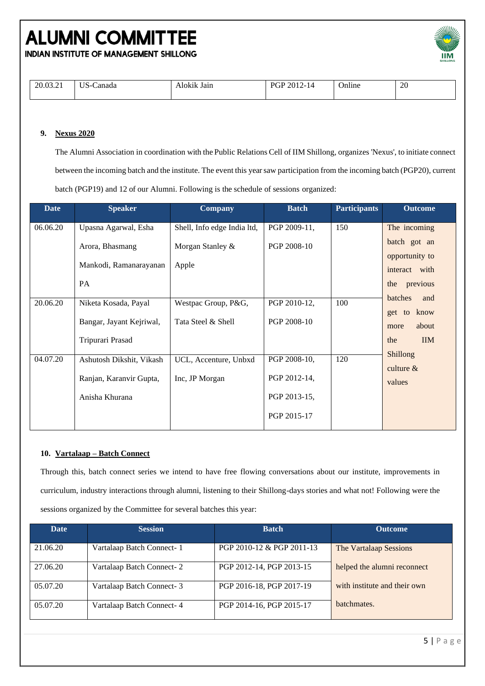

**INDIAN INSTITUTE OF MANAGEMENT SHILLONG** 

|--|

#### **9. Nexus 2020**

The Alumni Association in coordination with the Public Relations Cell of IIM Shillong, organizes 'Nexus', to initiate connect between the incoming batch and the institute. The event this year saw participation from the incoming batch (PGP20), current batch (PGP19) and 12 of our Alumni. Following is the schedule of sessions organized:

| <b>Date</b> | <b>Speaker</b>                                                        | <b>Company</b>                          | <b>Batch</b>                                                | <b>Participants</b> | <b>Outcome</b>                                  |
|-------------|-----------------------------------------------------------------------|-----------------------------------------|-------------------------------------------------------------|---------------------|-------------------------------------------------|
| 06.06.20    | Upasna Agarwal, Esha                                                  | Shell, Info edge India ltd,             | PGP 2009-11,                                                | 150                 | The incoming                                    |
|             | Arora, Bhasmang<br>Mankodi, Ramanarayanan                             | Morgan Stanley &<br>Apple               | PGP 2008-10                                                 |                     | batch got an<br>opportunity to<br>interact with |
|             | <b>PA</b>                                                             |                                         |                                                             |                     | previous<br>the                                 |
| 20.06.20    | Niketa Kosada, Payal                                                  | Westpac Group, P&G,                     | PGP 2010-12,                                                | 100                 | batches<br>and<br>know<br>get to                |
|             | Bangar, Jayant Kejriwal,                                              | Tata Steel & Shell                      | PGP 2008-10                                                 |                     | about<br>more                                   |
|             | Tripurari Prasad                                                      |                                         |                                                             |                     | <b>IIM</b><br>the                               |
| 04.07.20    | Ashutosh Dikshit, Vikash<br>Ranjan, Karanvir Gupta,<br>Anisha Khurana | UCL, Accenture, Unbxd<br>Inc, JP Morgan | PGP 2008-10,<br>PGP 2012-14,<br>PGP 2013-15,<br>PGP 2015-17 | 120                 | <b>Shillong</b><br>culture $&$<br>values        |

#### **10. Vartalaap – Batch Connect**

Through this, batch connect series we intend to have free flowing conversations about our institute, improvements in curriculum, industry interactions through alumni, listening to their Shillong-days stories and what not! Following were the sessions organized by the Committee for several batches this year:

| Date     | <b>Session</b>             | <b>Batch</b>              | <b>Outcome</b>               |
|----------|----------------------------|---------------------------|------------------------------|
| 21.06.20 | Vartalaap Batch Connect-1  | PGP 2010-12 & PGP 2011-13 | The Vartalaap Sessions       |
| 27.06.20 | Vartalaap Batch Connect-2  | PGP 2012-14, PGP 2013-15  | helped the alumni reconnect  |
| 05.07.20 | Vartalaap Batch Connect- 3 | PGP 2016-18, PGP 2017-19  | with institute and their own |
| 05.07.20 | Vartalaap Batch Connect- 4 | PGP 2014-16, PGP 2015-17  | batchmates.                  |